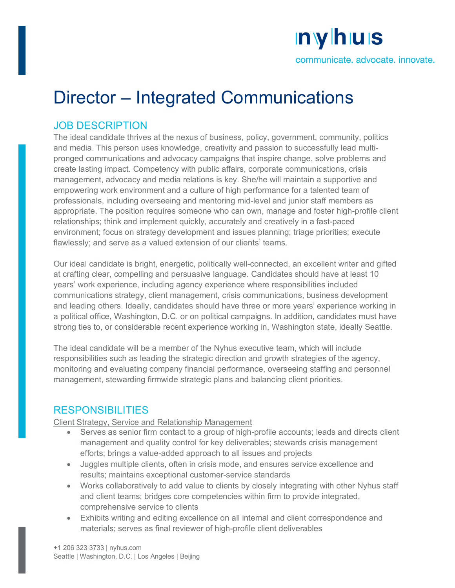# nyhus

communicate. advocate. innovate.

## Director – Integrated Communications

## JOB DESCRIPTION

The ideal candidate thrives at the nexus of business, policy, government, community, politics and media. This person uses knowledge, creativity and passion to successfully lead multipronged communications and advocacy campaigns that inspire change, solve problems and create lasting impact. Competency with public affairs, corporate communications, crisis management, advocacy and media relations is key. She/he will maintain a supportive and empowering work environment and a culture of high performance for a talented team of professionals, including overseeing and mentoring mid-level and junior staff members as appropriate. The position requires someone who can own, manage and foster high-profile client relationships; think and implement quickly, accurately and creatively in a fast-paced environment; focus on strategy development and issues planning; triage priorities; execute flawlessly; and serve as a valued extension of our clients' teams.

Our ideal candidate is bright, energetic, politically well-connected, an excellent writer and gifted at crafting clear, compelling and persuasive language. Candidates should have at least 10 years' work experience, including agency experience where responsibilities included communications strategy, client management, crisis communications, business development and leading others. Ideally, candidates should have three or more years' experience working in a political office, Washington, D.C. or on political campaigns. In addition, candidates must have strong ties to, or considerable recent experience working in, Washington state, ideally Seattle.

The ideal candidate will be a member of the Nyhus executive team, which will include responsibilities such as leading the strategic direction and growth strategies of the agency, monitoring and evaluating company financial performance, overseeing staffing and personnel management, stewarding firmwide strategic plans and balancing client priorities.

## RESPONSIBILITIES

#### Client Strategy, Service and Relationship Management

- Serves as senior firm contact to a group of high-profile accounts; leads and directs client management and quality control for key deliverables; stewards crisis management efforts; brings a value-added approach to all issues and projects
- Juggles multiple clients, often in crisis mode, and ensures service excellence and results; maintains exceptional customer-service standards
- Works collaboratively to add value to clients by closely integrating with other Nyhus staff and client teams; bridges core competencies within firm to provide integrated, comprehensive service to clients
- Exhibits writing and editing excellence on all internal and client correspondence and materials; serves as final reviewer of high-profile client deliverables

+1 206 323 3733 | nyhus.com Seattle | Washington, D.C. | Los Angeles | Beijing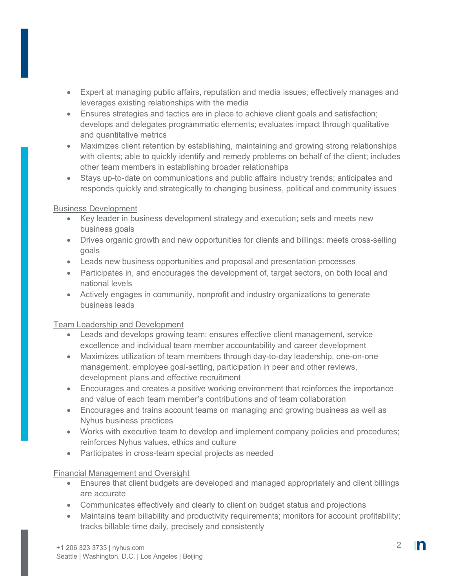- Expert at managing public affairs, reputation and media issues; effectively manages and leverages existing relationships with the media
- Ensures strategies and tactics are in place to achieve client goals and satisfaction; develops and delegates programmatic elements; evaluates impact through qualitative and quantitative metrics
- Maximizes client retention by establishing, maintaining and growing strong relationships with clients; able to quickly identify and remedy problems on behalf of the client; includes other team members in establishing broader relationships
- Stays up-to-date on communications and public affairs industry trends; anticipates and responds quickly and strategically to changing business, political and community issues

#### Business Development

- Key leader in business development strategy and execution; sets and meets new business goals
- Drives organic growth and new opportunities for clients and billings; meets cross-selling goals
- Leads new business opportunities and proposal and presentation processes
- Participates in, and encourages the development of, target sectors, on both local and national levels
- Actively engages in community, nonprofit and industry organizations to generate business leads

#### Team Leadership and Development

- Leads and develops growing team; ensures effective client management, service excellence and individual team member accountability and career development
- Maximizes utilization of team members through day-to-day leadership, one-on-one management, employee goal-setting, participation in peer and other reviews, development plans and effective recruitment
- Encourages and creates a positive working environment that reinforces the importance and value of each team member's contributions and of team collaboration
- Encourages and trains account teams on managing and growing business as well as Nyhus business practices
- Works with executive team to develop and implement company policies and procedures; reinforces Nyhus values, ethics and culture
- Participates in cross-team special projects as needed

#### Financial Management and Oversight

- Ensures that client budgets are developed and managed appropriately and client billings are accurate
- Communicates effectively and clearly to client on budget status and projections
- Maintains team billability and productivity requirements; monitors for account profitability; tracks billable time daily, precisely and consistently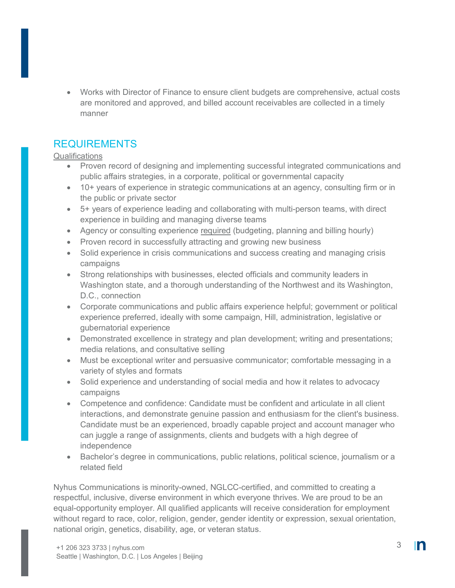• Works with Director of Finance to ensure client budgets are comprehensive, actual costs are monitored and approved, and billed account receivables are collected in a timely manner

## **REQUIREMENTS**

#### **Qualifications**

- Proven record of designing and implementing successful integrated communications and public affairs strategies, in a corporate, political or governmental capacity
- 10+ years of experience in strategic communications at an agency, consulting firm or in the public or private sector
- 5+ years of experience leading and collaborating with multi-person teams, with direct experience in building and managing diverse teams
- Agency or consulting experience required (budgeting, planning and billing hourly)
- Proven record in successfully attracting and growing new business
- Solid experience in crisis communications and success creating and managing crisis campaigns
- Strong relationships with businesses, elected officials and community leaders in Washington state, and a thorough understanding of the Northwest and its Washington, D.C., connection
- Corporate communications and public affairs experience helpful; government or political experience preferred, ideally with some campaign, Hill, administration, legislative or gubernatorial experience
- Demonstrated excellence in strategy and plan development; writing and presentations; media relations, and consultative selling
- Must be exceptional writer and persuasive communicator; comfortable messaging in a variety of styles and formats
- Solid experience and understanding of social media and how it relates to advocacy campaigns
- Competence and confidence: Candidate must be confident and articulate in all client interactions, and demonstrate genuine passion and enthusiasm for the client's business. Candidate must be an experienced, broadly capable project and account manager who can juggle a range of assignments, clients and budgets with a high degree of independence
- Bachelor's degree in communications, public relations, political science, journalism or a related field

Nyhus Communications is minority-owned, NGLCC-certified, and committed to creating a respectful, inclusive, diverse environment in which everyone thrives. We are proud to be an equal-opportunity employer. All qualified applicants will receive consideration for employment without regard to race, color, religion, gender, gender identity or expression, sexual orientation, national origin, genetics, disability, age, or veteran status.